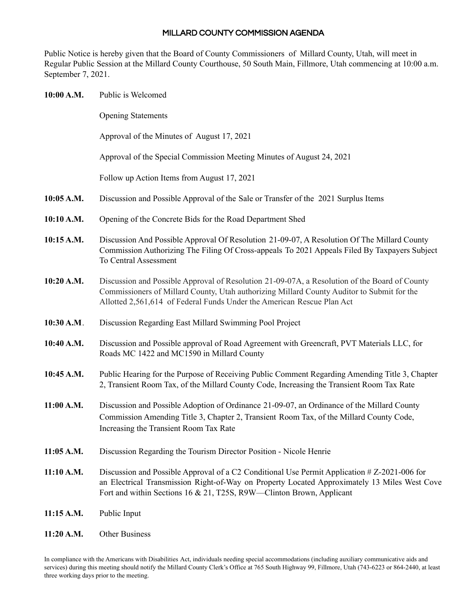## MILLARD COUNTY COMMISSION AGENDA

Public Notice is hereby given that the Board of County Commissioners of Millard County, Utah, will meet in Regular Public Session at the Millard County Courthouse, 50 South Main, Fillmore, Utah commencing at 10:00 a.m. September 7, 2021.

| 10:00 A.M. | Public is Welcomed                                                                                                                                                                                                                                                    |
|------------|-----------------------------------------------------------------------------------------------------------------------------------------------------------------------------------------------------------------------------------------------------------------------|
|            | <b>Opening Statements</b>                                                                                                                                                                                                                                             |
|            | Approval of the Minutes of August 17, 2021                                                                                                                                                                                                                            |
|            | Approval of the Special Commission Meeting Minutes of August 24, 2021                                                                                                                                                                                                 |
|            | Follow up Action Items from August 17, 2021                                                                                                                                                                                                                           |
| 10:05 A.M. | Discussion and Possible Approval of the Sale or Transfer of the 2021 Surplus Items                                                                                                                                                                                    |
| 10:10 A.M. | Opening of the Concrete Bids for the Road Department Shed                                                                                                                                                                                                             |
| 10:15 A.M. | Discussion And Possible Approval Of Resolution 21-09-07, A Resolution Of The Millard County<br>Commission Authorizing The Filing Of Cross-appeals To 2021 Appeals Filed By Taxpayers Subject<br>To Central Assessment                                                 |
| 10:20 A.M. | Discussion and Possible Approval of Resolution 21-09-07A, a Resolution of the Board of County<br>Commissioners of Millard County, Utah authorizing Millard County Auditor to Submit for the<br>Allotted 2,561,614 of Federal Funds Under the American Rescue Plan Act |
| 10:30 A.M. | Discussion Regarding East Millard Swimming Pool Project                                                                                                                                                                                                               |
| 10:40 A.M. | Discussion and Possible approval of Road Agreement with Greencraft, PVT Materials LLC, for<br>Roads MC 1422 and MC1590 in Millard County                                                                                                                              |
| 10:45 A.M. | Public Hearing for the Purpose of Receiving Public Comment Regarding Amending Title 3, Chapter<br>2, Transient Room Tax, of the Millard County Code, Increasing the Transient Room Tax Rate                                                                           |
| 11:00 A.M. | Discussion and Possible Adoption of Ordinance 21-09-07, an Ordinance of the Millard County<br>Commission Amending Title 3, Chapter 2, Transient Room Tax, of the Millard County Code,<br>Increasing the Transient Room Tax Rate                                       |
| 11:05 A.M. | Discussion Regarding the Tourism Director Position - Nicole Henrie                                                                                                                                                                                                    |
| 11:10 A.M. | Discussion and Possible Approval of a C2 Conditional Use Permit Application # Z-2021-006 for<br>an Electrical Transmission Right-of-Way on Property Located Approximately 13 Miles West Cove<br>Fort and within Sections 16 & 21, T25S, R9W—Clinton Brown, Applicant  |
| 11:15 A.M. | Public Input                                                                                                                                                                                                                                                          |
| 11:20 A.M. | Other Business                                                                                                                                                                                                                                                        |

In compliance with the Americans with Disabilities Act, individuals needing special accommodations (including auxiliary communicative aids and services) during this meeting should notify the Millard County Clerk's Office at 765 South Highway 99, Fillmore, Utah (743-6223 or 864-2440, at least three working days prior to the meeting.